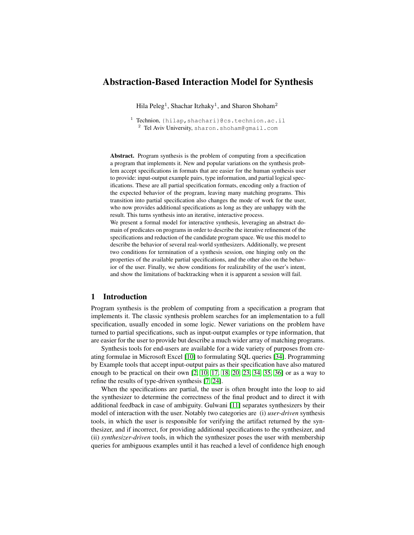# Abstraction-Based Interaction Model for Synthesis

Hila Peleg<sup>1</sup>, Shachar Itzhaky<sup>1</sup>, and Sharon Shoham<sup>2</sup>

<sup>1</sup> Technion, {hilap,shachari}@cs.technion.ac.il <sup>2</sup> Tel Aviv University, sharon.shoham@gmail.com

Abstract. Program synthesis is the problem of computing from a specification a program that implements it. New and popular variations on the synthesis problem accept specifications in formats that are easier for the human synthesis user to provide: input-output example pairs, type information, and partial logical specifications. These are all partial specification formats, encoding only a fraction of the expected behavior of the program, leaving many matching programs. This transition into partial specification also changes the mode of work for the user, who now provides additional specifications as long as they are unhappy with the result. This turns synthesis into an iterative, interactive process.

We present a formal model for interactive synthesis, leveraging an abstract domain of predicates on programs in order to describe the iterative refinement of the specifications and reduction of the candidate program space. We use this model to describe the behavior of several real-world synthesizers. Additionally, we present two conditions for termination of a synthesis session, one hinging only on the properties of the available partial specifications, and the other also on the behavior of the user. Finally, we show conditions for realizability of the user's intent, and show the limitations of backtracking when it is apparent a session will fail.

# 1 Introduction

Program synthesis is the problem of computing from a specification a program that implements it. The classic synthesis problem searches for an implementation to a full specification, usually encoded in some logic. Newer variations on the problem have turned to partial specifications, such as input-output examples or type information, that are easier for the user to provide but describe a much wider array of matching programs.

Synthesis tools for end-users are available for a wide variety of purposes from creating formulae in Microsoft Excel [\[10\]](#page-21-0) to formulating SQL queries [\[34\]](#page-23-0). Programming by Example tools that accept input-output pairs as their specification have also matured enough to be practical on their own [\[2,](#page-21-1) [10,](#page-21-0) [17,](#page-22-0) [18,](#page-22-1) [20,](#page-22-2) [23,](#page-22-3) [34,](#page-23-0) [35,](#page-23-1) [36\]](#page-23-2) or as a way to refine the results of type-driven synthesis [\[7,](#page-21-2) [24\]](#page-22-4).

When the specifications are partial, the user is often brought into the loop to aid the synthesizer to determine the correctness of the final product and to direct it with additional feedback in case of ambiguity. Gulwani [\[11\]](#page-21-3) separates synthesizers by their model of interaction with the user. Notably two categories are (i) *user-driven* synthesis tools, in which the user is responsible for verifying the artifact returned by the synthesizer, and if incorrect, for providing additional specifications to the synthesizer, and (ii) *synthesizer-driven* tools, in which the synthesizer poses the user with membership queries for ambiguous examples until it has reached a level of confidence high enough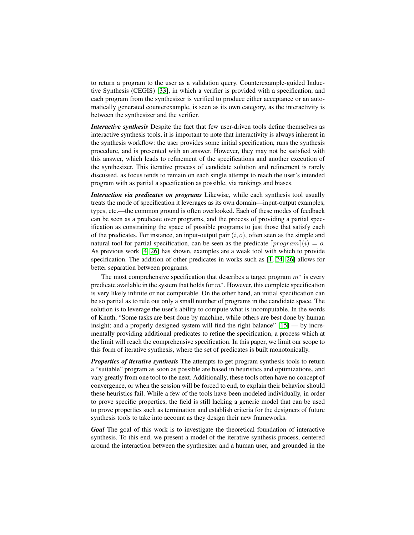to return a program to the user as a validation query. Counterexample-guided Inductive Synthesis (CEGIS) [\[33\]](#page-22-5), in which a verifier is provided with a specification, and each program from the synthesizer is verified to produce either acceptance or an automatically generated counterexample, is seen as its own category, as the interactivity is between the synthesizer and the verifier.

*Interactive synthesis* Despite the fact that few user-driven tools define themselves as interactive synthesis tools, it is important to note that interactivity is always inherent in the synthesis workflow: the user provides some initial specification, runs the synthesis procedure, and is presented with an answer. However, they may not be satisfied with this answer, which leads to refinement of the specifications and another execution of the synthesizer. This iterative process of candidate solution and refinement is rarely discussed, as focus tends to remain on each single attempt to reach the user's intended program with as partial a specification as possible, via rankings and biases.

*Interaction via predicates on programs* Likewise, while each synthesis tool usually treats the mode of specification it leverages as its own domain—input-output examples, types, etc.—the common ground is often overlooked. Each of these modes of feedback can be seen as a predicate over programs, and the process of providing a partial specification as constraining the space of possible programs to just those that satisfy each of the predicates. For instance, an input-output pair  $(i, o)$ , often seen as the simple and natural tool for partial specification, can be seen as the predicate  $\llbracket program \rrbracket(i) = o$ . As previous work [\[4,](#page-21-4) [26\]](#page-22-6) has shown, examples are a weak tool with which to provide specification. The addition of other predicates in works such as [\[1,](#page-21-5) [24,](#page-22-4) [26\]](#page-22-6) allows for better separation between programs.

The most comprehensive specification that describes a target program  $m^*$  is every predicate available in the system that holds for  $m^*$ . However, this complete specification is very likely infinite or not computable. On the other hand, an initial specification can be so partial as to rule out only a small number of programs in the candidate space. The solution is to leverage the user's ability to compute what is incomputable. In the words of Knuth, "Some tasks are best done by machine, while others are best done by human insight; and a properly designed system will find the right balance"  $[15]$  — by incrementally providing additional predicates to refine the specification, a process which at the limit will reach the comprehensive specification. In this paper, we limit our scope to this form of iterative synthesis, where the set of predicates is built monotonically.

*Properties of iterative synthesis* The attempts to get program synthesis tools to return a "suitable" program as soon as possible are based in heuristics and optimizations, and vary greatly from one tool to the next. Additionally, these tools often have no concept of convergence, or when the session will be forced to end, to explain their behavior should these heuristics fail. While a few of the tools have been modeled individually, in order to prove specific properties, the field is still lacking a generic model that can be used to prove properties such as termination and establish criteria for the designers of future synthesis tools to take into account as they design their new frameworks.

*Goal* The goal of this work is to investigate the theoretical foundation of interactive synthesis. To this end, we present a model of the iterative synthesis process, centered around the interaction between the synthesizer and a human user, and grounded in the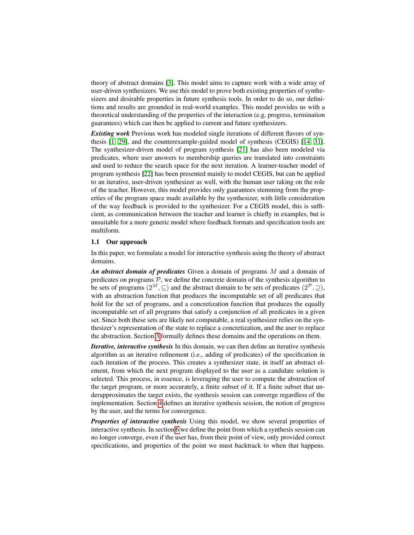theory of abstract domains [\[3\]](#page-21-6). This model aims to capture work with a wide array of user-driven synthesizers. We use this model to prove both existing properties of synthesizers and desirable properties in future synthesis tools. In order to do so, our definitions and results are grounded in real-world examples. This model provides us with a theoretical understanding of the properties of the interaction (e.g, progress, termination guarantees) which can then be applied to current and future synthesizers.

*Existing work* Previous work has modeled single iterations of different flavors of synthesis [\[1,](#page-21-5) [29\]](#page-22-8), and the counterexample-guided model of synthesis (CEGIS) [\[14,](#page-21-7) [31\]](#page-22-9). The synthesizer-driven model of program synthesis [\[21\]](#page-22-10) has also been modeled via predicates, where user answers to membership queries are translated into constraints and used to reduce the search space for the next iteration. A learner-teacher model of program synthesis [\[22\]](#page-22-11) has been presented mainly to model CEGIS, but can be applied to an iterative, user-driven synthesizer as well, with the human user taking on the role of the teacher. However, this model provides only guarantees stemming from the properties of the program space made available by the synthesizer, with little consideration of the way feedback is provided to the synthesizer. For a CEGIS model, this is sufficient, as communication between the teacher and learner is chiefly in examples, but is unsuitable for a more generic model where feedback formats and specification tools are multiform.

### 1.1 Our approach

In this paper, we formulate a model for interactive synthesis using the theory of abstract domains.

*An abstract domain of predicates* Given a domain of programs M and a domain of predicates on programs  $\mathcal{P}$ , we define the concrete domain of the synthesis algorithm to be sets of programs  $(2^M, \subseteq)$  and the abstract domain to be sets of predicates  $(2^{\mathcal{P}}, \supset)$ , with an abstraction function that produces the incomputable set of all predicates that hold for the set of programs, and a concretization function that produces the equally incomputable set of all programs that satisfy a conjunction of all predicates in a given set. Since both these sets are likely not computable, a real synthesizer relies on the synthesizer's representation of the state to replace a concretization, and the user to replace the abstraction. Section [3](#page-4-0) formally defines these domains and the operations on them.

*Iterative, interactive synthesis* In this domain, we can then define an iterative synthesis algorithm as an iterative refinement (i.e., adding of predicates) of the specification in each iteration of the process. This creates a synthesizer state, in itself an abstract element, from which the next program displayed to the user as a candidate solution is selected. This process, in essence, is leveraging the user to compute the abstraction of the target program, or more accurately, a finite subset of it. If a finite subset that underapproximates the target exists, the synthesis session can converge regardless of the implementation. Section [4](#page-7-0) defines an iterative synthesis session, the notion of progress by the user, and the terms for convergence.

*Properties of interactive synthesis* Using this model, we show several properties of interactive synthesis. In section [6](#page-14-0) we define the point from which a synthesis session can no longer converge, even if the user has, from their point of view, only provided correct specifications, and properties of the point we must backtrack to when that happens.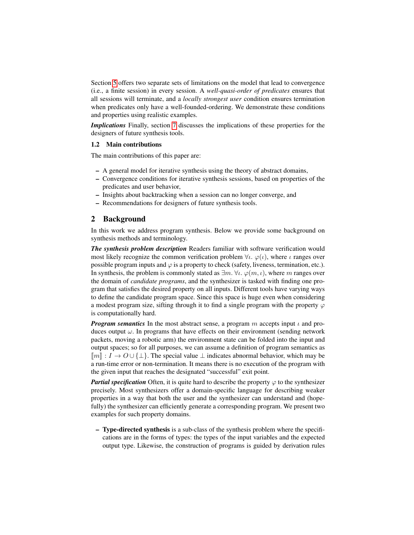Section [5](#page-11-0) offers two separate sets of limitations on the model that lead to convergence (i.e., a finite session) in every session. A *well-quasi-order of predicates* ensures that all sessions will terminate, and a *locally strongest user* condition ensures termination when predicates only have a well-founded-ordering. We demonstrate these conditions and properties using realistic examples.

*Implications* Finally, section [7](#page-18-0) discusses the implications of these properties for the designers of future synthesis tools.

### 1.2 Main contributions

The main contributions of this paper are:

- A general model for iterative synthesis using the theory of abstract domains,
- Convergence conditions for iterative synthesis sessions, based on properties of the predicates and user behavior,
- Insights about backtracking when a session can no longer converge, and
- Recommendations for designers of future synthesis tools.

# 2 Background

In this work we address program synthesis. Below we provide some background on synthesis methods and terminology.

*The synthesis problem description* Readers familiar with software verification would most likely recognize the common verification problem  $\forall \iota$ .  $\varphi(\iota)$ , where  $\iota$  ranges over possible program inputs and  $\varphi$  is a property to check (safety, liveness, termination, etc.). In synthesis, the problem is commonly stated as  $\exists m. \forall \iota. \varphi(m, \iota)$ , where m ranges over the domain of *candidate programs*, and the synthesizer is tasked with finding one program that satisfies the desired property on all inputs. Different tools have varying ways to define the candidate program space. Since this space is huge even when considering a modest program size, sifting through it to find a single program with the property  $\varphi$ is computationally hard.

*Program semantics* In the most abstract sense, a program m accepts input  $\iota$  and produces output  $\omega$ . In programs that have effects on their environment (sending network packets, moving a robotic arm) the environment state can be folded into the input and output spaces; so for all purposes, we can assume a definition of program semantics as  $\llbracket m \rrbracket$  :  $I \to O \cup \{\perp\}$ . The special value  $\perp$  indicates abnormal behavior, which may be a run-time error or non-termination. It means there is no execution of the program with the given input that reaches the designated "successful" exit point.

*Partial specification* Often, it is quite hard to describe the property  $\varphi$  to the synthesizer precisely. Most synthesizers offer a domain-specific language for describing weaker properties in a way that both the user and the synthesizer can understand and (hopefully) the synthesizer can efficiently generate a corresponding program. We present two examples for such property domains.

– Type-directed synthesis is a sub-class of the synthesis problem where the specifications are in the forms of types: the types of the input variables and the expected output type. Likewise, the construction of programs is guided by derivation rules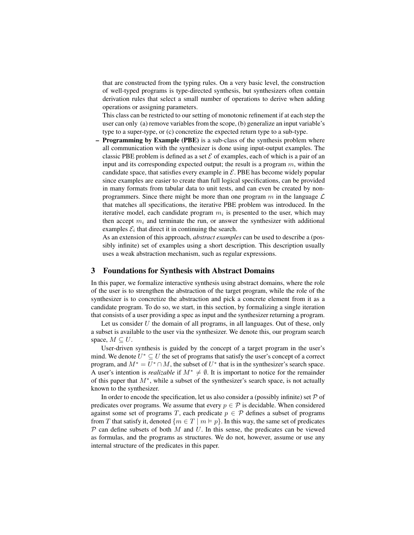that are constructed from the typing rules. On a very basic level, the construction of well-typed programs is type-directed synthesis, but synthesizers often contain derivation rules that select a small number of operations to derive when adding operations or assigning parameters.

This class can be restricted to our setting of monotonic refinement if at each step the user can only (a) remove variables from the scope, (b) generalize an input variable's type to a super-type, or (c) concretize the expected return type to a sub-type.

**Programming by Example (PBE)** is a sub-class of the synthesis problem where all communication with the synthesizer is done using input-output examples. The classic PBE problem is defined as a set  $\mathcal E$  of examples, each of which is a pair of an input and its corresponding expected output; the result is a program  $m$ , within the candidate space, that satisfies every example in  $\mathcal{E}$ . PBE has become widely popular since examples are easier to create than full logical specifications, can be provided in many formats from tabular data to unit tests, and can even be created by nonprogrammers. Since there might be more than one program m in the language  $\mathcal L$ that matches all specifications, the iterative PBE problem was introduced. In the iterative model, each candidate program  $m_i$  is presented to the user, which may then accept  $m_i$  and terminate the run, or answer the synthesizer with additional examples  $\mathcal{E}_i$  that direct it in continuing the search.

As an extension of this approach, *abstract examples* can be used to describe a (possibly infinite) set of examples using a short description. This description usually uses a weak abstraction mechanism, such as regular expressions.

# <span id="page-4-0"></span>3 Foundations for Synthesis with Abstract Domains

In this paper, we formalize interactive synthesis using abstract domains, where the role of the user is to strengthen the abstraction of the target program, while the role of the synthesizer is to concretize the abstraction and pick a concrete element from it as a candidate program. To do so, we start, in this section, by formalizing a single iteration that consists of a user providing a spec as input and the synthesizer returning a program.

Let us consider  $U$  the domain of all programs, in all languages. Out of these, only a subset is available to the user via the synthesizer. We denote this, our program search space,  $M \subset U$ .

User-driven synthesis is guided by the concept of a target program in the user's mind. We denote  $U^* \subseteq U$  the set of programs that satisfy the user's concept of a correct program, and  $M^* = U^* \cap M$ , the subset of  $U^*$  that is in the synthesizer's search space. A user's intention is *realizable* if  $M^* \neq \emptyset$ . It is important to notice for the remainder of this paper that  $M^*$ , while a subset of the synthesizer's search space, is not actually known to the synthesizer.

In order to encode the specification, let us also consider a (possibly infinite) set  $P$  of predicates over programs. We assume that every  $p \in \mathcal{P}$  is decidable. When considered against some set of programs T, each predicate  $p \in \mathcal{P}$  defines a subset of programs from T that satisfy it, denoted  $\{m \in T \mid m \models p\}$ . In this way, the same set of predicates  $P$  can define subsets of both M and U. In this sense, the predicates can be viewed as formulas, and the programs as structures. We do not, however, assume or use any internal structure of the predicates in this paper.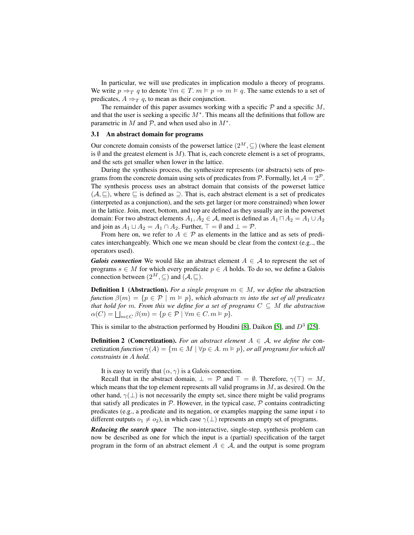In particular, we will use predicates in implication modulo a theory of programs. We write  $p \Rightarrow_T q$  to denote  $\forall m \in T$ .  $m \models p \Rightarrow m \models q$ . The same extends to a set of predicates,  $A \Rightarrow_T q$ , to mean as their conjunction.

The remainder of this paper assumes working with a specific  $P$  and a specific  $M$ , and that the user is seeking a specific  $M^*$ . This means all the definitions that follow are parametric in M and  $P$ , and when used also in  $M^*$ .

### 3.1 An abstract domain for programs

Our concrete domain consists of the powerset lattice  $(2^M, \subseteq)$  (where the least element is  $\emptyset$  and the greatest element is M). That is, each concrete element is a set of programs, and the sets get smaller when lower in the lattice.

During the synthesis process, the synthesizer represents (or abstracts) sets of programs from the concrete domain using sets of predicates from  $P$ . Formally, let  $A = 2^P$ . The synthesis process uses an abstract domain that consists of the powerset lattice  $(A, \subseteq)$ , where  $\subseteq$  is defined as  $\supseteq$ . That is, each abstract element is a set of predicates (interpreted as a conjunction), and the sets get larger (or more constrained) when lower in the lattice. Join, meet, bottom, and top are defined as they usually are in the powerset domain: For two abstract elements  $A_1, A_2 \in \mathcal{A}$ , meet is defined as  $A_1 \cap A_2 = A_1 \cup A_2$ and join as  $A_1 \sqcup A_2 = A_1 \cap A_2$ . Further,  $\top = \emptyset$  and  $\bot = \mathcal{P}$ .

From here on, we refer to  $A \in \mathcal{P}$  as elements in the lattice and as sets of predicates interchangeably. Which one we mean should be clear from the context (e.g.., the operators used).

*Galois connection* We would like an abstract element  $A \in \mathcal{A}$  to represent the set of programs  $s \in M$  for which every predicate  $p \in A$  holds. To do so, we define a Galois connection between  $(2^M, \subseteq)$  and  $(\mathcal{A}, \subseteq)$ .

**Definition 1** (Abstraction). *For a single program*  $m \in M$ , we define the abstraction *function*  $\beta(m) = \{p \in \mathcal{P} \mid m \models p\}$ , which abstracts m into the set of all predicates *that hold for m. From this we define for a set of programs*  $C \subseteq M$  *the abstraction*  $\alpha(C) = \bigsqcup_{m \in C} \beta(m) = \{p \in \mathcal{P} \mid \forall m \in C, m \models p\}.$ 

This is similar to the abstraction performed by Houdini [\[8\]](#page-21-8), Daikon [\[5\]](#page-21-9), and  $D^3$  [\[25\]](#page-22-12).

**Definition 2** (Concretization). For an abstract element  $A \in \mathcal{A}$ , we define the concretization *function*  $\gamma(A) = \{m \in M \mid \forall p \in A. m \models p\}$ , or all programs for which all *constraints in* A *hold.*

It is easy to verify that  $(\alpha, \gamma)$  is a Galois connection.

Recall that in the abstract domain,  $\bot = \mathcal{P}$  and  $\top = \emptyset$ . Therefore,  $\gamma(\top) = M$ , which means that the top element represents all valid programs in  $M$ , as desired. On the other hand,  $\gamma(\perp)$  is not necessarily the empty set, since there might be valid programs that satisfy all predicates in  $\mathcal{P}$ . However, in the typical case,  $\mathcal{P}$  contains contradicting predicates (e.g., a predicate and its negation, or examples mapping the same input  $i$  to different outputs  $o_1 \neq o_2$ ), in which case  $\gamma(\perp)$  represents an empty set of programs.

*Reducing the search space* The non-interactive, single-step, synthesis problem can now be described as one for which the input is a (partial) specification of the target program in the form of an abstract element  $A \in \mathcal{A}$ , and the output is some program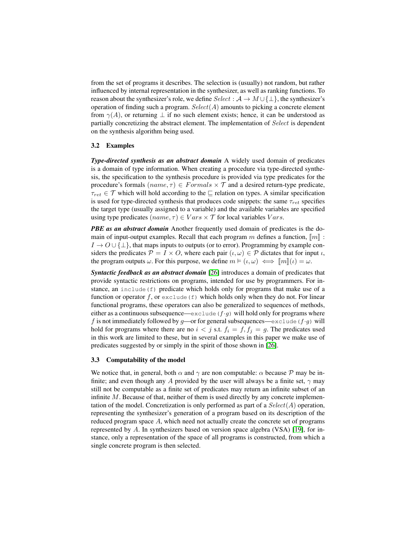from the set of programs it describes. The selection is (usually) not random, but rather influenced by internal representation in the synthesizer, as well as ranking functions. To reason about the synthesizer's role, we define  $Select : \mathcal{A} \to M \cup \{\perp\}$ , the synthesizer's operation of finding such a program.  $Select(A)$  amounts to picking a concrete element from  $\gamma(A)$ , or returning  $\bot$  if no such element exists; hence, it can be understood as partially concretizing the abstract element. The implementation of *Select* is dependent on the synthesis algorithm being used.

#### 3.2 Examples

*Type-directed synthesis as an abstract domain* A widely used domain of predicates is a domain of type information. When creating a procedure via type-directed synthesis, the specification to the synthesis procedure is provided via type predicates for the procedure's formals ( $name, \tau$ )  $\in$  Formals  $\times$  T and a desired return-type predicate,  $\tau_{ret} \in \mathcal{T}$  which will hold according to the  $\sqsubseteq$  relation on types. A similar specification is used for type-directed synthesis that produces code snippets: the same  $\tau_{ret}$  specifies the target type (usually assigned to a variable) and the available variables are specified using type predicates  $(name, \tau) \in Vars \times T$  for local variables  $Vars$ .

**PBE as an abstract domain** Another frequently used domain of predicates is the domain of input-output examples. Recall that each program m defines a function,  $\llbracket m \rrbracket$ :  $I \to O \cup \{\perp\}$ , that maps inputs to outputs (or to error). Programming by example considers the predicates  $\mathcal{P} = I \times O$ , where each pair  $(\iota, \omega) \in \mathcal{P}$  dictates that for input  $\iota$ , the program outputs  $\omega$ . For this purpose, we define  $m \models (\iota, \omega) \iff \llbracket m \rrbracket(\iota) = \omega$ .

*Syntactic feedback as an abstract domain* [\[26\]](#page-22-6) introduces a domain of predicates that provide syntactic restrictions on programs, intended for use by programmers. For instance, an include  $(f)$  predicate which holds only for programs that make use of a function or operator  $f$ , or exclude (f) which holds only when they do not. For linear functional programs, these operators can also be generalized to sequences of methods, either as a continuous subsequence—exclude ( $f \cdot g$ ) will hold only for programs where f is not immediately followed by g—or for general subsequences—exclude (f ·g) will hold for programs where there are no  $i < j$  s.t.  $f_i = f$ ,  $f_j = g$ . The predicates used in this work are limited to these, but in several examples in this paper we make use of predicates suggested by or simply in the spirit of those shown in [\[26\]](#page-22-6).

#### 3.3 Computability of the model

We notice that, in general, both  $\alpha$  and  $\gamma$  are non computable:  $\alpha$  because  $\beta$  may be infinite; and even though any A provided by the user will always be a finite set,  $\gamma$  may still not be computable as a finite set of predicates may return an infinite subset of an infinite  $M$ . Because of that, neither of them is used directly by any concrete implementation of the model. Concretization is only performed as part of a  $Select(A)$  operation, representing the synthesizer's generation of a program based on its description of the reduced program space A, which need not actually create the concrete set of programs represented by A. In synthesizers based on version space algebra (VSA) [\[19\]](#page-22-13), for instance, only a representation of the space of all programs is constructed, from which a single concrete program is then selected.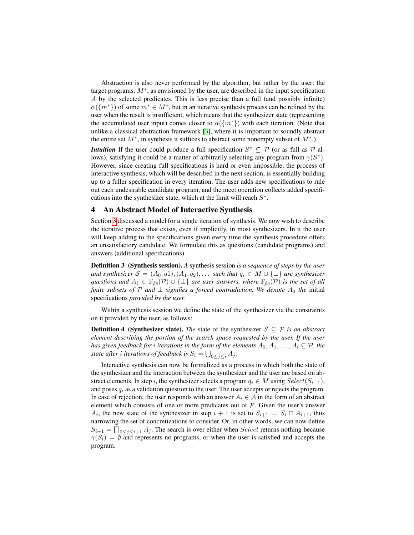Abstraction is also never performed by the algorithm, but rather by the user: the target programs,  $M^*$ , as envisioned by the user, are described in the input specification A by the selected predicates. This is less precise than a full (and possibly infinite)  $\alpha({m^*})$  of some  $m^* \in M^*$ , but in an iterative synthesis process can be refined by the user when the result is insufficient, which means that the synthesizer state (representing the accumulated user input) comes closer to  $\alpha({m^*})$  with each iteration. (Note that unlike a classical abstraction framework [\[3\]](#page-21-6), where it is important to soundly abstract the entire set  $M^*$ , in synthesis it suffices to abstract some nonempty subset of  $M^*$ .)

*Intuition* If the user could produce a full specification  $S^* \subseteq \mathcal{P}$  (or as full as  $\mathcal{P}$  allows), satisfying it could be a matter of arbitrarily selecting any program from  $\gamma(S^*)$ . However, since creating full specifications is hard or even impossible, the process of interactive synthesis, which will be described in the next section, is essentially building up to a fuller specification in every iteration. The user adds new specifications to rule out each undesirable candidate program, and the meet operation collects added specifications into the synthesizer state, which at the limit will reach  $S^*$ .

# <span id="page-7-0"></span>4 An Abstract Model of Interactive Synthesis

Section [3](#page-4-0) discussed a model for a single iteration of synthesis. We now wish to describe the iterative process that exists, even if implicitly, in most synthesizers. In it the user will keep adding to the specifications given every time the synthesis procedure offers an unsatisfactory candidate. We formulate this as questions (candidate programs) and answers (additional specifications).

Definition 3 (Synthesis session). *A* synthesis session *is a sequence of steps by the user and synthesizer*  $S = (A_0, q1), (A_1, q2), \ldots$  *such that*  $q_i \in M \cup \{\perp\}$  *are synthesizer questions and*  $A_i \in \mathbb{P}_{\text{fin}}(\mathcal{P}) \cup \{\perp\}$  *are user answers, where*  $\mathbb{P}_{\text{fin}}(\mathcal{P})$  *is the set of all finite subsets of*  $P$  *and*  $\perp$  *signifies a forced contradiction. We denote*  $A_0$  *the* initial specifications *provided by the user.*

<span id="page-7-1"></span>Within a synthesis session we define the state of the synthesizer via the constraints on it provided by the user, as follows:

**Definition 4 (Synthesizer state).** *The* state of the synthesizer  $S \subseteq \mathcal{P}$  *is an abstract element describing the portion of the search space requested by the user. If the user has given feedback for i iterations in the form of the elements*  $A_0, A_1, \ldots, A_i \subseteq \mathcal{P}$ *, the state after i iterations of feedback is*  $S_i = \bigcup_{0 \leq j \leq i} A_j$ *.* 

Interactive synthesis can now be formalized as a process in which both the state of the synthesizer and the interaction between the synthesizer and the user are based on abstract elements. In step i, the synthesizer selects a program  $q_i \in M$  using  $Select(S_{i-1}),$ and poses  $q_i$  as a validation question to the user. The user accepts or rejects the program. In case of rejection, the user responds with an answer  $A_i \in \mathcal{A}$  in the form of an abstract element which consists of one or more predicates out of  $P$ . Given the user's answer  $A_i$ , the new state of the synthesizer in step  $i + 1$  is set to  $S_{i+1} = S_i \sqcap A_{i+1}$ , thus narrowing the set of concretizations to consider. Or, in other words, we can now define  $S_{i+1} = \prod_{0 \leq j \leq i+1} A_j$ . The search is over either when *Select* returns nothing because  $\gamma(S_i) = \emptyset$  and represents no programs, or when the user is satisfied and accepts the program.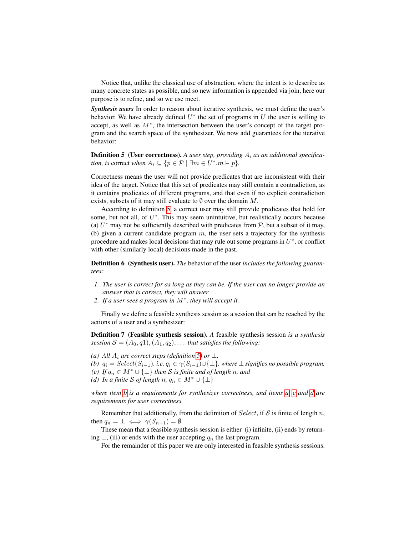Notice that, unlike the classical use of abstraction, where the intent is to describe as many concrete states as possible, and so new information is appended via join, here our purpose is to refine, and so we use meet.

*Synthesis users* In order to reason about iterative synthesis, we must define the user's behavior. We have already defined  $U^*$  the set of programs in U the user is willing to accept, as well as  $M^*$ , the intersection between the user's concept of the target program and the search space of the synthesizer. We now add guarantees for the iterative behavior:

<span id="page-8-0"></span>**Definition 5** (User correctness). A user step, providing  $A_i$  as an additional specifica*tion, is* correct *when*  $A_i \subseteq \{p \in \mathcal{P} \mid \exists m \in U^* . m \models p\}.$ 

Correctness means the user will not provide predicates that are inconsistent with their idea of the target. Notice that this set of predicates may still contain a contradiction, as it contains predicates of different programs, and that even if no explicit contradiction exists, subsets of it may still evaluate to  $\emptyset$  over the domain M.

According to definition [5,](#page-8-0) a correct user may still provide predicates that hold for some, but not all, of  $U^*$ . This may seem unintuitive, but realistically occurs because (a)  $U^*$  may not be sufficiently described with predicates from  $P$ , but a subset of it may, (b) given a current candidate program  $m$ , the user sets a trajectory for the synthesis procedure and makes local decisions that may rule out some programs in  $U^*$ , or conflict with other (similarly local) decisions made in the past.

Definition 6 (Synthesis user). *The* behavior of the user *includes the following guarantees:*

- *1. The user is correct for as long as they can be. If the user can no longer provide an answer that is correct, they will answer* ⊥*.*
- *2. If a user sees a program in* M<sup>∗</sup> *, they will accept it.*

<span id="page-8-5"></span>Finally we define a feasible synthesis session as a session that can be reached by the actions of a user and a synthesizer:

Definition 7 (Feasible synthesis session). *A* feasible synthesis session *is a synthesis session*  $\mathcal{S} = (A_0, q_1), (A_1, q_2), \ldots$  *that satisfies the following:* 

<span id="page-8-2"></span>*(a) All*  $A_i$  *are correct steps (definition* [5\)](#page-8-0) *or*  $\perp$ *,* 

- <span id="page-8-1"></span>*(b)*  $q_i = Select(S_{i-1})$ *, i.e.*  $q_i \in \gamma(S_{i-1}) \cup \{\perp\}$ *, where* ⊥ *signifies no possible program,*
- <span id="page-8-3"></span>*(c) If*  $q_n \text{ ∈ } M^* \cup \{\perp\}$  *then S is finite and of length n, and*
- <span id="page-8-4"></span>*(d) In a finite* S *of length*  $n, q_n \in M^* \cup {\{\perp\}}$

*where item [b](#page-8-1) is a requirements for synthesizer correctness, and items [a,](#page-8-2) [c](#page-8-3) and [d](#page-8-4) are requirements for user correctness.*

Remember that additionally, from the definition of  $Select$ , if S is finite of length n, then  $q_n = \perp \iff \gamma(S_{n-1}) = \emptyset$ .

These mean that a feasible synthesis session is either (i) infinite, (ii) ends by returning  $⊥$ , (iii) or ends with the user accepting  $q_n$  the last program.

For the remainder of this paper we are only interested in feasible synthesis sessions.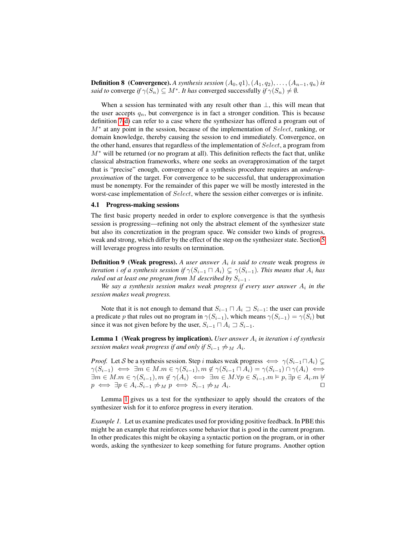**Definition 8** (Convergence). A synthesis session  $(A_0, q_1), (A_1, q_2), \ldots, (A_{n-1}, q_n)$  is *said to* converge *if*  $\gamma(S_n) \subseteq M^*$ . *It has* converged successfully *if*  $\gamma(S_n) \neq \emptyset$ .

When a session has terminated with any result other than  $\perp$ , this will mean that the user accepts  $q_n$ , but convergence is in fact a stronger condition. This is because definition [7](#page-8-5)[\(d\)](#page-8-4) can refer to a case where the synthesizer has offered a program out of  $M^*$  at any point in the session, because of the implementation of Select, ranking, or domain knowledge, thereby causing the session to end immediately. Convergence, on the other hand, ensures that regardless of the implementation of Select, a program from  $M^*$  will be returned (or no program at all). This definition reflects the fact that, unlike classical abstraction frameworks, where one seeks an overapproximation of the target that is "precise" enough, convergence of a synthesis procedure requires an *underapproximation* of the target. For convergence to be successful, that underapproximation must be nonempty. For the remainder of this paper we will be mostly interested in the worst-case implementation of *Select*, where the session either converges or is infinite.

### 4.1 Progress-making sessions

The first basic property needed in order to explore convergence is that the synthesis session is progressing—refining not only the abstract element of the synthesizer state but also its concretization in the program space. We consider two kinds of progress, weak and strong, which differ by the effect of the step on the synthesizer state. Section [5](#page-11-0) will leverage progress into results on termination.

<span id="page-9-1"></span>**Definition 9 (Weak progress).** A user answer  $A_i$  is said to create weak progress in *iteration i of a synthesis session if*  $\gamma(S_{i-1} \sqcap A_i) \subsetneq \gamma(S_{i-1})$ *. This means that*  $A_i$  *has ruled out at least one program from*  $M$  *described by*  $S_{i-1}$ .

We say a synthesis session makes weak progress if every user answer  $A_i$  in the *session makes weak progress.*

Note that it is not enough to demand that  $S_{i-1} \sqcap A_i \sqsupset S_{i-1}$ : the user can provide a predicate p that rules out no program in  $\gamma(S_{i-1})$ , which means  $\gamma(S_{i-1}) = \gamma(S_i)$  but since it was not given before by the user,  $S_{i-1} \sqcap A_i \sqsupset S_{i-1}$ .

<span id="page-9-0"></span>Lemma 1 (Weak progress by implication). *User answer* A<sup>i</sup> *in iteration* i *of synthesis session makes weak progress if and only if*  $S_{i-1} \not\Rightarrow_M A_i$ .

*Proof.* Let S be a synthesis session. Step i makes weak progress  $\iff \gamma(S_{i-1} \sqcap A_i) \subsetneq$  $\gamma(S_{i-1}) \iff \exists m \in M.m \in \gamma(S_{i-1}), m \notin \gamma(S_{i-1} \sqcap A_i) = \gamma(S_{i-1}) \cap \gamma(A_i) \iff$  $\exists m \in M.m \in \gamma(S_{i-1}), m \notin \gamma(A_i) \iff \exists m \in M.\forall p \in S_{i-1}.m \models p, \exists p \in A_i.m \not\models p$  $p \iff \exists p \in A_i \ldotp S_{i-1} \not\Rightarrow_M p \iff S_{i-1} \not\Rightarrow_M A_i$ . The contract of the contract  $\Box$ 

Lemma [1](#page-9-0) gives us a test for the synthesizer to apply should the creators of the synthesizer wish for it to enforce progress in every iteration.

*Example 1.* Let us examine predicates used for providing positive feedback. In PBE this might be an example that reinforces some behavior that is good in the current program. In other predicates this might be okaying a syntactic portion on the program, or in other words, asking the synthesizer to keep something for future programs. Another option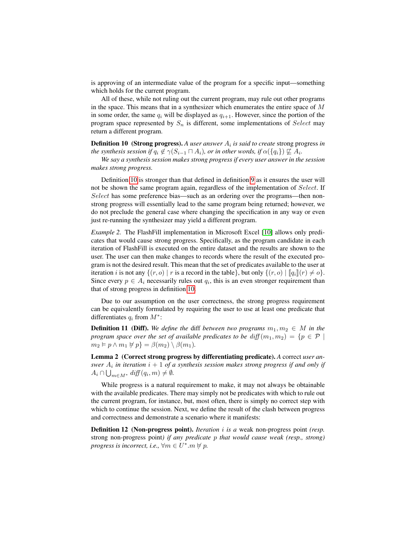is approving of an intermediate value of the program for a specific input—something which holds for the current program.

All of these, while not ruling out the current program, may rule out other programs in the space. This means that in a synthesizer which enumerates the entire space of  $M$ in some order, the same  $q_i$  will be displayed as  $q_{i+1}$ . However, since the portion of the program space represented by  $S_n$  is different, some implementations of Select may return a different program.

<span id="page-10-0"></span>Definition 10 (Strong progress). A user answer  $A_i$  is said to create strong progress in *the synthesis session if*  $q_i \not\in \gamma(S_{i-1} \sqcap A_i)$ *, or in other words, if*  $\alpha(\{q_i\}) \not\sqsubseteq A_i$ *.* 

*We say a synthesis session makes strong progress if every user answer in the session makes strong progress.*

Definition [10](#page-10-0) is stronger than that defined in definition [9](#page-9-1) as it ensures the user will not be shown the same program again, regardless of the implementation of Select. If Select has some preference bias—such as an ordering over the programs—then nonstrong progress will essentially lead to the same program being returned; however, we do not preclude the general case where changing the specification in any way or even just re-running the synthesizer may yield a different program.

*Example 2.* The FlashFill implementation in Microsoft Excel [\[10\]](#page-21-0) allows only predicates that would cause strong progress. Specifically, as the program candidate in each iteration of FlashFill is executed on the entire dataset and the results are shown to the user. The user can then make changes to records where the result of the executed program is not the desired result. This mean that the set of predicates available to the user at iteration i is not any  $\{(r, o) \mid r$  is a record in the table }, but only  $\{(r, o) \mid ||q_i||(r) \neq o\}$ . Since every  $p \in A_i$  necessarily rules out  $q_i$ , this is an even stronger requirement than that of strong progress in definition [10.](#page-10-0)

Due to our assumption on the user correctness, the strong progress requirement can be equivalently formulated by requiring the user to use at least one predicate that differentiates  $q_i$  from  $M^*$ :

**Definition 11 (Diff).** We define the diff between two programs  $m_1, m_2 \in M$  in the *program space over the set of available predicates to be*  $diff(m_1, m_2) = \{p \in \mathcal{P} \mid$  $m_2 \vDash p \wedge m_1 \not\models p$ } =  $\beta(m_2) \setminus \beta(m_1)$ .

Lemma 2 (Correct strong progress by differentiating predicate). *A* correct *user answer*  $A_i$  in iteration  $i + 1$  of a synthesis session makes strong progress if and only if  $A_i \cap \bigcup_{m \in M^*} \text{diff}(q_i, m) \neq \emptyset.$ 

While progress is a natural requirement to make, it may not always be obtainable with the available predicates. There may simply not be predicates with which to rule out the current program, for instance, but, most often, there is simply no correct step with which to continue the session. Next, we define the result of the clash between progress and correctness and demonstrate a scenario where it manifests:

Definition 12 (Non-progress point). *Iteration* i *is a* weak non-progress point *(resp.* strong non-progress point*) if any predicate* p *that would cause weak (resp., strong) progress is incorrect, i.e.,*  $\forall m \in U^*$ . $m \not\models p$ .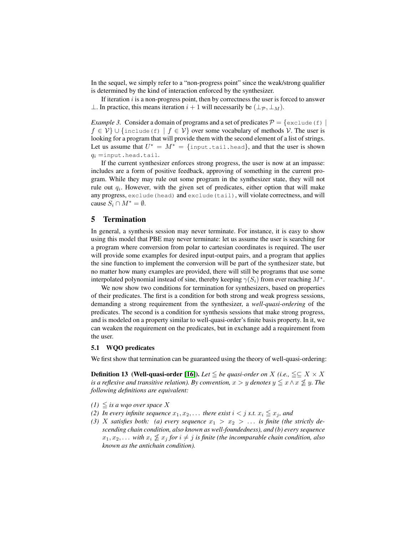In the sequel, we simply refer to a "non-progress point" since the weak/strong qualifier is determined by the kind of interaction enforced by the synthesizer.

If iteration  $i$  is a non-progress point, then by correctness the user is forced to answer ⊥. In practice, this means iteration  $i + 1$  will necessarily be  $(\perp_{\mathcal{P}}, \perp_M)$ .

<span id="page-11-3"></span>*Example 3.* Consider a domain of programs and a set of predicates  $P = \{\text{exclude}(f) \mid \text{if } f \in \mathbb{R}\}$  $f \in \mathcal{V}$  ∪ {include (f) |  $f \in \mathcal{V}$  over some vocabulary of methods V. The user is looking for a program that will provide them with the second element of a list of strings. Let us assume that  $U^* = M^* = \{\text{input}.\text{tail}.\text{head}\}$ , and that the user is shown  $q_i =$ input.head.tail.

If the current synthesizer enforces strong progress, the user is now at an impasse: includes are a form of positive feedback, approving of something in the current program. While they may rule out some program in the synthesizer state, they will not rule out  $q_i$ . However, with the given set of predicates, either option that will make any progress, exclude (head) and exclude (tail), will violate correctness, and will cause  $S_i \cap M^* = \emptyset$ .

# <span id="page-11-0"></span>5 Termination

In general, a synthesis session may never terminate. For instance, it is easy to show using this model that PBE may never terminate: let us assume the user is searching for a program where conversion from polar to cartesian coordinates is required. The user will provide some examples for desired input-output pairs, and a program that applies the sine function to implement the conversion will be part of the synthesizer state, but no matter how many examples are provided, there will still be programs that use some interpolated polynomial instead of sine, thereby keeping  $\gamma(S_i)$  from ever reaching  $M^*$ .

We now show two conditions for termination for synthesizers, based on properties of their predicates. The first is a condition for both strong and weak progress sessions, demanding a strong requirement from the synthesizer, a *well-quasi-ordering* of the predicates. The second is a condition for synthesis sessions that make strong progress, and is modeled on a property similar to well-quasi-order's finite basis property. In it, we can weaken the requirement on the predicates, but in exchange add a requirement from the user.

### 5.1 WQO predicates

<span id="page-11-1"></span>We first show that termination can be guaranteed using the theory of well-quasi-ordering:

**Definition 13** (Well-quasi-order [\[16\]](#page-22-14)). *Let*  $\leq$  *be quasi-order on* X *(i.e.,*  $\leq \leq X \times X$ *is a reflexive and transitive relation). By convention,*  $x > y$  *denotes*  $y \leq x \wedge x \nleq y$ *. The following definitions are equivalent:*

- $(1) \leq$  *is a wqo over space* X
- *(2) In every infinite sequence*  $x_1, x_2, \ldots$  *there exist*  $i < j$  *s.t.*  $x_i \leq x_j$ *, and*
- <span id="page-11-2"></span>(3) *X* satisfies both: (a) every sequence  $x_1 > x_2 > ...$  is finite (the strictly de*scending chain condition, also known as well-foundedness), and (b) every sequence*  $x_1, x_2, \ldots$  *with*  $x_i \nleq x_j$  *for*  $i \neq j$  *is finite (the incomparable chain condition, also known as the antichain condition).*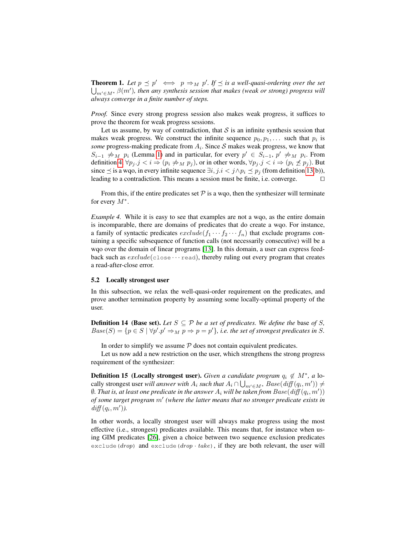**Theorem 1.** Let  $p \preceq p' \iff p \Rightarrow_M p'$ . If  $\preceq$  is a well-quasi-ordering over the set  $\bigcup_{m' \in M^*} \beta(m')$ , then any synthesis session that makes (weak or strong) progress will *always converge in a finite number of steps.*

*Proof.* Since every strong progress session also makes weak progress, it suffices to prove the theorem for weak progress sessions.

Let us assume, by way of contradiction, that  $S$  is an infinite synthesis session that makes weak progress. We construct the infinite sequence  $p_0, p_1, \ldots$  such that  $p_i$  is some progress-making predicate from  $A_i$ . Since  $S$  makes weak progress, we know that  $S_{i-1} \not\Rightarrow_M p_i$  (Lemma [1\)](#page-9-0) and in particular, for every  $p' \in S_{i-1}$ ,  $p' \not\Rightarrow_M p_i$ . From definition [4,](#page-7-1)  $\forall p_j \cdot j \leq i \Rightarrow (p_i \not\Rightarrow_M p_j)$ , or in other words,  $\forall p_j \cdot j \leq i \Rightarrow (p_i \not\leq p_j)$ . But since  $\leq$  is a wqo, in every infinite sequence  $\exists i, j.i < j \land p_i \leq p_j$  (from definition [13\(](#page-11-1)b)), leading to a contradiction. This means a session must be finite, i.e. converge.  $\Box$ 

From this, if the entire predicates set  $P$  is a wqo, then the synthesizer will terminate for every  $M^*$ .

*Example 4.* While it is easy to see that examples are not a wqo, as the entire domain is incomparable, there are domains of predicates that do create a wqo. For instance, a family of syntactic predicates  $\mathit{exclude}(f_1 \cdots f_2 \cdots f_n)$  that exclude programs containing a specific subsequence of function calls (not necessarily consecutive) will be a wqo over the domain of linear programs [\[13\]](#page-21-10). In this domain, a user can express feedback such as  $\mathit{exclude}( \text{close} \cdots \text{read})$ , thereby ruling out every program that creates a read-after-close error.

#### 5.2 Locally strongest user

In this subsection, we relax the well-quasi-order requirement on the predicates, and prove another termination property by assuming some locally-optimal property of the user.

**Definition 14** (Base set). Let  $S \subseteq P$  be a set of predicates. We define the base of S,  $Base(S) = \{p \in S \mid \forall p'.p' \Rightarrow_M p \Rightarrow p = p'\},$  i.e. the set of strongest predicates in S.

In order to simplify we assume  $P$  does not contain equivalent predicates.

Let us now add a new restriction on the user, which strengthens the strong progress requirement of the synthesizer:

**Definition 15** (Locally strongest user). *Given a candidate program*  $q_i \notin M^*$ , a locally strongest user *will answer with*  $A_i$  *such that*  $A_i \cap \bigcup_{m' \in M^*} Base(df(q_i, m')) \neq$  $\emptyset.$  That is, at least one predicate in the answer  $A_i$  will be taken from  $Base ($   $diff (q_i, m'))$ of some target program  $m'$  (where the latter means that no stronger predicate exists in  $diff(q_i, m')$ ).

In other words, a locally strongest user will always make progress using the most effective (i.e., strongest) predicates available. This means that, for instance when using GIM predicates [\[26\]](#page-22-6), given a choice between two sequence exclusion predicates exclude (*drop*) and exclude (*drop*  $\cdot$  take), if they are both relevant, the user will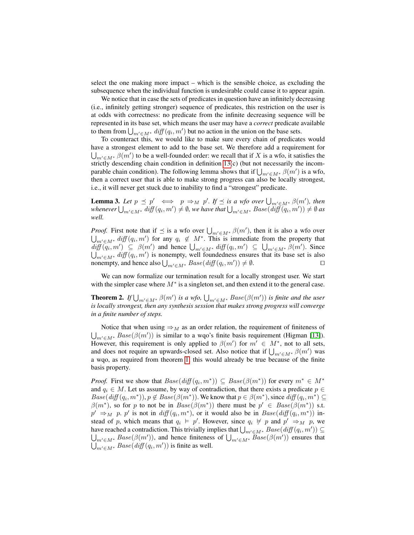select the one making more impact – which is the sensible choice, as excluding the subsequence when the individual function is undesirable could cause it to appear again.

We notice that in case the sets of predicates in question have an infinitely decreasing (i.e., infinitely getting stronger) sequence of predicates, this restriction on the user is at odds with correctness: no predicate from the infinite decreasing sequence will be represented in its base set, which means the user may have a *correct* predicate available to them from  $\bigcup_{m' \in M^*} diff(q_i, m')$  but no action in the union on the base sets.

To counteract this, we would like to make sure every chain of predicates would have a strongest element to add to the base set. We therefore add a requirement for  $\bigcup_{m' \in M^*} \beta(m')$  to be a well-founded order: we recall that if X is a wfo, it satisfies the strictly descending chain condition in definition [13\(](#page-11-1)c) (but not necessarily the incomparable chain condition). The following lemma shows that if  $\bigcup_{m' \in M^*} \beta(m')$  is a wfo, then a correct user that is able to make strong progress can also be locally strongest, i.e., it will never get stuck due to inability to find a "strongest" predicate.

**Lemma 3.** Let  $p \preceq p' \iff p \Rightarrow_M p'$ . If  $\preceq$  is a wfo over  $\bigcup_{m' \in M^*} \beta(m')$ , then whenever  $\bigcup_{m'\in M^*}$   $diff(q_i,m')\neq \emptyset$ , we have that  $\bigcup_{m'\in M^*}Base(\widehat{diff}(q_i,m'))\neq \emptyset$  as *well.*

*Proof.* First note that if  $\preceq$  is a wfo over  $\bigcup_{m' \in M^*} \beta(m')$ , then it is also a wfo over  $\bigcup_{m' \in M^*} diff(q_i, m')$  for any  $q_i \notin M^*$ . This is immediate from the property that  $diff(q_i, m') \subseteq \beta(m')$  and hence  $\bigcup_{m' \in M^*} diff(q_i, m') \subseteq \bigcup_{m' \in M^*} \beta(m')$ . Since  $\bigcup_{m' \in M^*} diff(q_i, m')$  is nonempty, well foundedness ensures that its base set is also nonempty, and hence also  $\bigcup_{m' \in M^*} Base(diff(q_i, m')) \neq \emptyset$ .

We can now formalize our termination result for a locally strongest user. We start with the simpler case where  $M^*$  is a singleton set, and then extend it to the general case.

**Theorem 2.** If  $\bigcup_{m'\in M^*}\beta(m')$  is a wfo,  $\bigcup_{m'\in M^*}Base(\beta(m'))$  is finite and the user *is locally strongest, then any synthesis session that makes strong progress will converge in a finite number of steps.*

Notice that when using  $\Rightarrow_M$  as an order relation, the requirement of finiteness of  $\bigcup_{m' \in M^*} Base(\beta(m'))$  is similar to a wqo's finite basis requirement (Higman [\[13\]](#page-21-10)). However, this requirement is only applied to  $\beta(m')$  for  $m' \in M^*$ , not to all sets, and does not require an upwards-closed set. Also notice that if  $\bigcup_{m' \in M^*} \beta(m')$  was a wqo, as required from theorem [1,](#page-11-2) this would already be true because of the finite basis property.

*Proof.* First we show that  $Base(diff(q_i, m^*)) \subseteq Base(\beta(m^*))$  for every  $m^* \in M^*$ and  $q_i \in M$ . Let us assume, by way of contradiction, that there exists a predicate  $p \in$  $Base(diff(q_i, m^*)), p \notin Base(\beta(m^*)).$  We know that  $p \in \beta(m^*),$  since  $diff(q_i, m^*) \subseteq$  $\beta(m^*)$ , so for p to not be in  $Base(\beta(m^*))$  there must be  $p' \in Base(\beta(m^*))$  s.t.  $p' \Rightarrow_M p$ . p' is not in  $diff(q_i, m^*)$ , or it would also be in  $Base(diff(q_i, m^*))$  instead of p, which means that  $q_i \models p'$ . However, since  $q_i \not\vdash p$  and  $p' \Rightarrow_M p$ , we have reached a contradiction. This trivially implies that  $\bigcup_{m'\in M^*} Base(df(q_i, m')) \subseteq$  $\bigcup_{m' \in M^*} Base(\beta(m'))$ , and hence finiteness of  $\bigcup_{m' \in M^*} Base(\beta(m'))$  ensures that  $\bigcup_{m' \in M^*} Base(df(q_i, m'))$  is finite as well.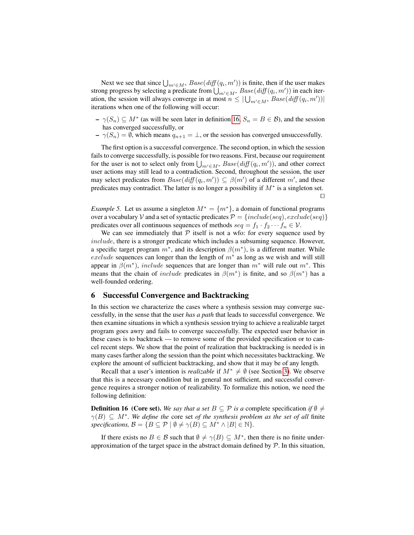Next we see that since  $\bigcup_{m' \in M^*} Base(diff(q_i, m'))$  is finite, then if the user makes strong progress by selecting a predicate from  $\bigcup_{m'\in M^*} Base(diff(q_i, m'))$  in each iteration, the session will always converge in at most  $n \leq |\bigcup_{m' \in M^*} Base(df(f(q_i, m'))|$ iterations when one of the following will occur:

- $\gamma(S_n) \subseteq M^*$  (as will be seen later in definition [16,](#page-14-1)  $S_n = B \in \mathcal{B}$ ), and the session has converged successfully, or
- $\gamma(S_n) = \emptyset$ , which means  $q_{n+1} = \bot$ , or the session has converged unsuccessfully.

The first option is a successful convergence. The second option, in which the session fails to converge successfully, is possible for two reasons. First, because our requirement for the user is not to select only from  $\bigcup_{m' \in M^*} Base(diff(q_i, m'))$ , and other correct user actions may still lead to a contradiction. Second, throughout the session, the user may select predicates from  $Base(diff(q_i, m')) \subseteq \beta(m')$  of a different m', and these predicates may contradict. The latter is no longer a possibility if  $M^*$  is a singleton set.  $\Box$ 

*Example 5.* Let us assume a singleton  $M^* = \{m^*\}\$ , a domain of functional programs over a vocabulary V and a set of syntactic predicates  $P = \{include(seq), exclude(seq)\}$ predicates over all continuous sequences of methods  $seq = f_1 \cdot f_2 \cdots f_n \in V$ .

We can see immediately that  $P$  itself is not a wfo: for every sequence used by include, there is a stronger predicate which includes a subsuming sequence. However, a specific target program  $m^*$ , and its description  $\beta(m^*)$ , is a different matter. While  $\emph{exclude}$  sequences can longer than the length of  $m^*$  as long as we wish and will still appear in  $\beta(m^*)$ , *include* sequences that are longer than  $m^*$  will rule out  $m^*$ . This means that the chain of include predicates in  $\beta(m^*)$  is finite, and so  $\beta(m^*)$  has a well-founded ordering.

### <span id="page-14-0"></span>6 Successful Convergence and Backtracking

In this section we characterize the cases where a synthesis session may converge successfully, in the sense that the user *has a path* that leads to successful convergence. We then examine situations in which a synthesis session trying to achieve a realizable target program goes awry and fails to converge successfully. The expected user behavior in these cases is to backtrack — to remove some of the provided specification or to cancel recent steps. We show that the point of realization that backtracking is needed is in many cases farther along the session than the point which necessitates backtracking. We explore the amount of sufficient backtracking, and show that it may be of any length.

Recall that a user's intention is *realizable* if  $M^* \neq \emptyset$  (see Section [3\)](#page-4-0). We observe that this is a necessary condition but in general not sufficient, and successful convergence requires a stronger notion of realizability. To formalize this notion, we need the following definition:

<span id="page-14-1"></span>**Definition 16** (Core set). We say that a set  $B \subseteq \mathcal{P}$  is a complete specification if  $\emptyset \neq$  $\gamma(B) \subseteq M^*$ . We define the core set of the synthesis problem as the set of all finite *specifications,*  $\mathcal{B} = \{ B \subseteq \mathcal{P} \mid \emptyset \neq \gamma(B) \subseteq M^* \land |B| \in \mathbb{N} \}.$ 

If there exists no  $B \in \mathcal{B}$  such that  $\emptyset \neq \gamma(B) \subseteq M^*$ , then there is no finite underapproximation of the target space in the abstract domain defined by  $P$ . In this situation,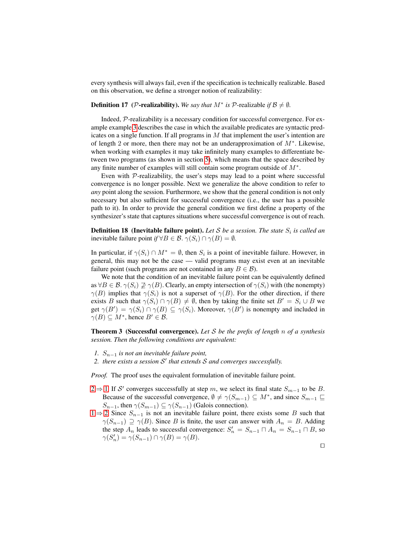every synthesis will always fail, even if the specification is technically realizable. Based on this observation, we define a stronger notion of realizability:

# **Definition 17** (P-realizability). We say that  $M^*$  is P-realizable if  $B \neq \emptyset$ .

Indeed, P-realizability is a necessary condition for successful convergence. For example example [3](#page-11-3) describes the case in which the available predicates are syntactic predicates on a single function. If all programs in  $M$  that implement the user's intention are of length 2 or more, then there may not be an underapproximation of  $M^*$ . Likewise, when working with examples it may take infinitely many examples to differentiate between two programs (as shown in section [5\)](#page-11-0), which means that the space described by any finite number of examples will still contain some program outside of  $M^*$ .

Even with  $P$ -realizability, the user's steps may lead to a point where successful convergence is no longer possible. Next we generalize the above condition to refer to *any* point along the session. Furthermore, we show that the general condition is not only necessary but also sufficient for successful convergence (i.e., the user has a possible path to it). In order to provide the general condition we first define a property of the synthesizer's state that captures situations where successful convergence is out of reach.

**Definition 18 (Inevitable failure point).** Let S be a session. The state  $S_i$  is called an inevitable failure point *if*  $\forall B \in \mathcal{B}$ .  $\gamma(S_i) \cap \gamma(B) = \emptyset$ *.* 

In particular, if  $\gamma(S_i) \cap M^* = \emptyset$ , then  $S_i$  is a point of inevitable failure. However, in general, this may not be the case — valid programs may exist even at an inevitable failure point (such programs are not contained in any  $B \in \mathcal{B}$ ).

We note that the condition of an inevitable failure point can be equivalently defined as  $\forall B \in \mathcal{B}$ .  $\gamma(S_i) \not\supseteq \gamma(B)$ . Clearly, an empty intersection of  $\gamma(S_i)$  with (the nonempty)  $\gamma(B)$  implies that  $\gamma(S_i)$  is not a superset of  $\gamma(B)$ . For the other direction, if there exists B such that  $\gamma(S_i) \cap \gamma(B) \neq \emptyset$ , then by taking the finite set  $B' = S_i \cup B$  we get  $\gamma(B') = \gamma(S_i) \cap \gamma(B) \subseteq \gamma(S_i)$ . Moreover,  $\gamma(B')$  is nonempty and included in  $\gamma(B) \subseteq M^*$ , hence  $B' \in \mathcal{B}$ .

<span id="page-15-2"></span>Theorem 3 (Successful convergence). *Let* S *be the prefix of length* n *of a synthesis session. Then the following conditions are equivalent:*

- <span id="page-15-1"></span>*1.* Sn−<sup>1</sup> *is not an inevitable failure point,*
- <span id="page-15-0"></span>*2. there exists a session* S 0 *that extends* S *and converges successfully.*

*Proof.* The proof uses the equivalent formulation of inevitable failure point.

- [2](#page-15-0)  $\Rightarrow$  [1](#page-15-1) If S' converges successfully at step m, we select its final state  $S_{m-1}$  to be B. Because of the successful convergence,  $\emptyset \neq \gamma(S_{m-1}) \subseteq M^*$ , and since  $S_{m-1} \sqsubseteq$  $S_{n-1}$ , then  $\gamma(S_{m-1}) \subseteq \gamma(S_{n-1})$  (Galois connection).
- [1](#page-15-1)  $\Rightarrow$  [2](#page-15-0) Since  $S_{n-1}$  is not an inevitable failure point, there exists some B such that  $\gamma(S_{n-1}) \supseteq \gamma(B)$ . Since B is finite, the user can answer with  $A_n = B$ . Adding the step  $A_n$  leads to successful convergence:  $S'_n = S_{n-1} \sqcap A_n = S_{n-1} \sqcap B$ , so  $\gamma(S'_n) = \gamma(S_{n-1}) \cap \gamma(B) = \gamma(B).$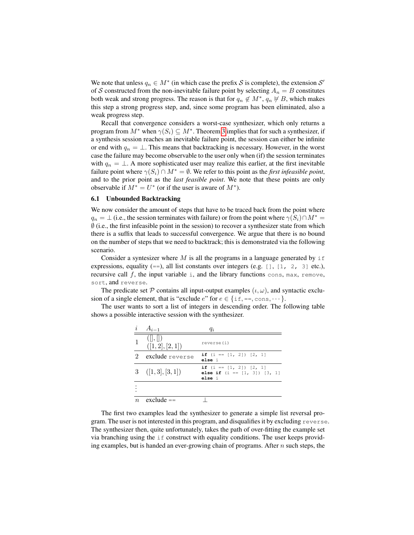We note that unless  $q_n \in M^*$  (in which case the prefix S is complete), the extension S' of S constructed from the non-inevitable failure point by selecting  $A_n = B$  constitutes both weak and strong progress. The reason is that for  $q_n \notin M^*$ ,  $q_n \notin B$ , which makes this step a strong progress step, and, since some program has been eliminated, also a weak progress step.

Recall that convergence considers a worst-case synthesizer, which only returns a program from  $M^*$  when  $\gamma(S_i) \subseteq M^*$ . Theorem [3](#page-15-2) implies that for such a synthesizer, if a synthesis session reaches an inevitable failure point, the session can either be infinite or end with  $q_n = \perp$ . This means that backtracking is necessary. However, in the worst case the failure may become observable to the user only when (if) the session terminates with  $q_n = \perp$ . A more sophisticated user may realize this earlier, at the first inevitable failure point where  $\gamma(S_i) \cap M^* = \emptyset$ . We refer to this point as the *first infeasible point*, and to the prior point as the *last feasible point*. We note that these points are only observable if  $M^* = U^*$  (or if the user is aware of  $M^*$ ).

#### <span id="page-16-0"></span>6.1 Unbounded Backtracking

We now consider the amount of steps that have to be traced back from the point where  $q_n = \perp$  (i.e., the session terminates with failure) or from the point where  $\gamma(S_i) \cap M^* =$ ∅ (i.e., the first infeasible point in the session) to recover a synthesizer state from which there is a suffix that leads to successful convergence. We argue that there is no bound on the number of steps that we need to backtrack; this is demonstrated via the following scenario.

Consider a syntesizer where M is all the programs in a language generated by  $\pm$  f expressions, equality  $(==)$ , all list constants over integers  $(e.g. [1, [1, 2, 3] etc.),$ recursive call  $f$ , the input variable  $\pm$ , and the library functions cons, max, remove, sort, and reverse.

The predicate set P contains all input-output examples  $(\iota, \omega)$ , and syntactic exclusion of a single element, that is "exclude  $e$ " for  $e \in \{ \text{if,} = 0, \text{cons}, \cdots \}.$ 

The user wants to sort a list of integers in descending order. The following table shows a possible interactive session with the synthesizer.

| i      | $A_{i-1}$             | $q_i$                                                                 |
|--------|-----------------------|-----------------------------------------------------------------------|
|        | ([1, 2], [2, 1])      | reverse(i)                                                            |
|        | exclude reverse       | if $(i == [1, 2]) [2, 1]$<br>else i                                   |
|        | 3([1,3],[3,1])        | if $(i == [1, 2]) [2, 1]$<br>else if $(i == [1, 3]) [3, 1]$<br>else i |
|        |                       |                                                                       |
| $\eta$ | $\alpha$ exclude $==$ |                                                                       |

The first two examples lead the synthesizer to generate a simple list reversal program. The user is not interested in this program, and disqualifies it by excluding reverse. The synthesizer then, quite unfortunately, takes the path of over-fitting the example set via branching using the if construct with equality conditions. The user keeps providing examples, but is handed an ever-growing chain of programs. After  $n$  such steps, the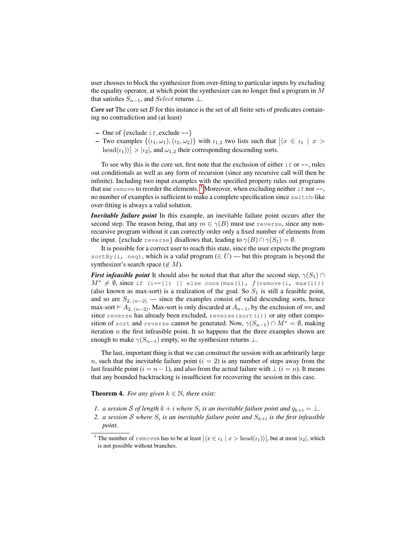user chooses to block the synthesizer from over-fitting to particular inputs by excluding the equality operator, at which point the synthesizer can no longer find a program in  $M$ that satisfies  $S_{n-1}$ , and *Select* returns  $\perp$ .

*Core set* The core set  $\beta$  for this instance is the set of all finite sets of predicates containing no contradiction and (at least)

- One of  $\{exclude \text{ if}, exclude ==\}$
- Two examples  $\{(i_1,\omega_1),(i_2,\omega_2)\}\$  with  $i_{1,2}$  two lists such that  $\left|\left\langle x \in i_1 \mid x \right\rangle\right\|$  $\text{head}(\iota_1)\rangle \geq |\iota_2|$ , and  $\omega_{1,2}$  their corresponding descending sorts.

To see why this is the core set, first note that the exclusion of either  $if$  or  $==$ , rules out conditionals as well as any form of recursion (since any recursive call will then be infinite). Including two input examples with the specified property rules out programs that use remove to reorder the elements.<sup>[3](#page-17-0)</sup> Moreover, when excluding neither if nor  $==$ , no number of examples is sufficient to make a complete specification since switch-like over-fitting is always a valid solution.

*Inevitable failure point* In this example, an inevitable failure point occurs after the second step. The reason being, that any  $m \in \gamma(B)$  must use reverse, since any nonrecursive program without it can correctly order only a fixed number of elements from the input. {exclude reverse} disallows that, leading to  $\gamma(B) \cap \gamma(S_1) = \emptyset$ .

It is possible for a correct user to reach this state, since the user expects the program sortBy(i, neg), which is a valid program  $(\in U)$  — but this program is beyond the synthesizer's search space ( $\notin M$ ).

*First infeasible point* It should also be noted that that after the second step,  $\gamma(S_1) \cap$  $M^* \neq \emptyset$ , since if (i==[]) [] else cons(max(i), f(remove(i, max(i))) (also known as max-sort) is a realization of the goal. So  $S_1$  is still a feasible point, and so are  $S_{2,(n-2)}$  — since the examples consist of valid descending sorts, hence max-sort  $\models A_{2..(n-2)}$ . Max-sort is only discarded at  $A_{n-1}$ , by the exclusion of ==, and since reverse has already been excluded, reverse(sort(i)) or any other composition of sort and reverse cannot be generated. Now,  $\gamma(S_{n-1}) \cap M^* = \emptyset$ , making iteration  $n$  the first infeasible point. It so happens that the three examples shown are enough to make  $\gamma(S_{n-1})$  empty, so the synthesizer returns  $\bot$ .

The last, important thing is that we can construct the session with an arbitrarily large n, such that the inevitable failure point  $(i = 2)$  is any number of steps away from the last feasible point ( $i = n - 1$ ), and also from the actual failure with  $\perp (i = n)$ . It means that any bounded backtracking is insufficient for recovering the session in this case.

**Theorem 4.** *For any given*  $k \in \mathbb{N}$ *, there exist:* 

<span id="page-17-1"></span>*1. a session S of length*  $k + i$  *where*  $S_i$  *is an inevitable failure point and*  $q_{k+i} = \bot$ *.* 

<span id="page-17-2"></span>2. *a session S where*  $S_i$  *is an inevitable failure point and*  $S_{k+i}$  *is the first infeasible point.*

<span id="page-17-0"></span><sup>&</sup>lt;sup>3</sup> The number of removes has to be at least  $|\langle x \in \iota_1 | x > \text{head}(\iota_1) \rangle|$ , but at most  $|\iota_2|$ , which is not possible without branches.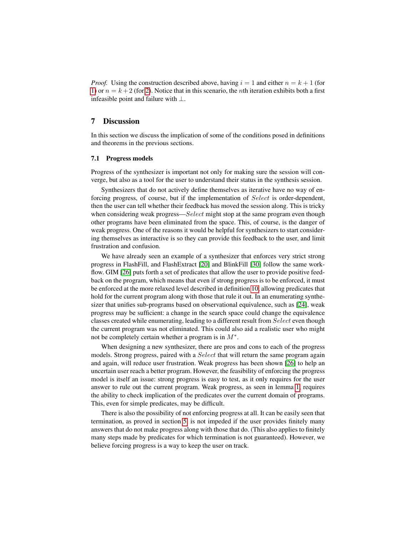*Proof.* Using the construction described above, having  $i = 1$  and either  $n = k + 1$  (for [1\)](#page-17-1) or  $n = k + 2$  (for [2\)](#page-17-2). Notice that in this scenario, the *n*th iteration exhibits both a first infeasible point and failure with  $\perp$ .

### <span id="page-18-0"></span>7 Discussion

In this section we discuss the implication of some of the conditions posed in definitions and theorems in the previous sections.

#### <span id="page-18-1"></span>7.1 Progress models

Progress of the synthesizer is important not only for making sure the session will converge, but also as a tool for the user to understand their status in the synthesis session.

Synthesizers that do not actively define themselves as iterative have no way of enforcing progress, of course, but if the implementation of Select is order-dependent, then the user can tell whether their feedback has moved the session along. This is tricky when considering weak progress—Select might stop at the same program even though other programs have been eliminated from the space. This, of course, is the danger of weak progress. One of the reasons it would be helpful for synthesizers to start considering themselves as interactive is so they can provide this feedback to the user, and limit frustration and confusion.

We have already seen an example of a synthesizer that enforces very strict strong progress in FlashFill, and FlashExtract [\[20\]](#page-22-2) and BlinkFill [\[30\]](#page-22-15) follow the same workflow. GIM [\[26\]](#page-22-6) puts forth a set of predicates that allow the user to provide positive feedback on the program, which means that even if strong progress is to be enforced, it must be enforced at the more relaxed level described in definition [10,](#page-10-0) allowing predicates that hold for the current program along with those that rule it out. In an enumerating synthesizer that unifies sub-programs based on observational equivalence, such as [\[24\]](#page-22-4), weak progress may be sufficient: a change in the search space could change the equivalence classes created while enumerating, leading to a different result from Select even though the current program was not eliminated. This could also aid a realistic user who might not be completely certain whether a program is in  $M^*$ .

When designing a new synthesizer, there are pros and cons to each of the progress models. Strong progress, paired with a Select that will return the same program again and again, will reduce user frustration. Weak progress has been shown [\[26\]](#page-22-6) to help an uncertain user reach a better program. However, the feasibility of enforcing the progress model is itself an issue: strong progress is easy to test, as it only requires for the user answer to rule out the current program. Weak progress, as seen in lemma [1,](#page-9-0) requires the ability to check implication of the predicates over the current domain of programs. This, even for simple predicates, may be difficult.

There is also the possibility of not enforcing progress at all. It can be easily seen that termination, as proved in section [5,](#page-11-0) is not impeded if the user provides finitely many answers that do not make progress along with those that do. (This also applies to finitely many steps made by predicates for which termination is not guaranteed). However, we believe forcing progress is a way to keep the user on track.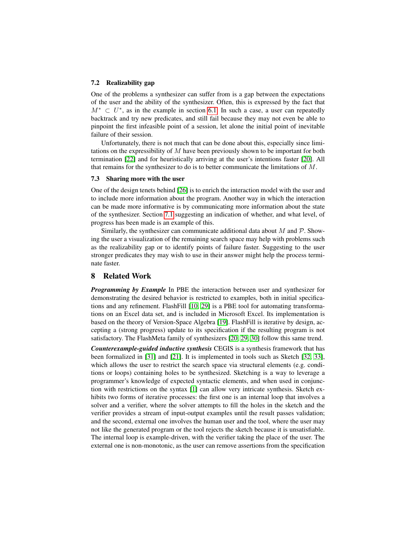#### 7.2 Realizability gap

One of the problems a synthesizer can suffer from is a gap between the expectations of the user and the ability of the synthesizer. Often, this is expressed by the fact that  $M^* \subset U^*$ , as in the example in section [6.1.](#page-16-0) In such a case, a user can repeatedly backtrack and try new predicates, and still fail because they may not even be able to pinpoint the first infeasible point of a session, let alone the initial point of inevitable failure of their session.

Unfortunately, there is not much that can be done about this, especially since limitations on the expressibility of M have been previously shown to be important for both termination [\[22\]](#page-22-11) and for heuristically arriving at the user's intentions faster [\[20\]](#page-22-2). All that remains for the synthesizer to do is to better communicate the limitations of M.

#### 7.3 Sharing more with the user

One of the design tenets behind [\[26\]](#page-22-6) is to enrich the interaction model with the user and to include more information about the program. Another way in which the interaction can be made more informative is by communicating more information about the state of the synthesizer. Section [7.1](#page-18-1) suggesting an indication of whether, and what level, of progress has been made is an example of this.

Similarly, the synthesizer can communicate additional data about  $M$  and  $\mathcal{P}$ . Showing the user a visualization of the remaining search space may help with problems such as the realizability gap or to identify points of failure faster. Suggesting to the user stronger predicates they may wish to use in their answer might help the process terminate faster.

## 8 Related Work

*Programming by Example* In PBE the interaction between user and synthesizer for demonstrating the desired behavior is restricted to examples, both in initial specifications and any refinement. FlashFill [\[10,](#page-21-0) [29\]](#page-22-8) is a PBE tool for automating transformations on an Excel data set, and is included in Microsoft Excel. Its implementation is based on the theory of Version-Space Algebra [\[19\]](#page-22-13). FlashFill is iterative by design, accepting a (strong progress) update to its specification if the resulting program is not satisfactory. The FlashMeta family of synthesizers [\[20,](#page-22-2) [29,](#page-22-8) [30\]](#page-22-15) follow this same trend.

*Counterexample-guided inductive synthesis* CEGIS is a synthesis framework that has been formalized in [\[31\]](#page-22-9) and [\[21\]](#page-22-10). It is implemented in tools such as Sketch [\[32,](#page-22-16) [33\]](#page-22-5), which allows the user to restrict the search space via structural elements (e.g. conditions or loops) containing holes to be synthesized. Sketching is a way to leverage a programmer's knowledge of expected syntactic elements, and when used in conjunction with restrictions on the syntax [\[1\]](#page-21-5) can allow very intricate synthesis. Sketch exhibits two forms of iterative processes: the first one is an internal loop that involves a solver and a verifier, where the solver attempts to fill the holes in the sketch and the verifier provides a stream of input-output examples until the result passes validation; and the second, external one involves the human user and the tool, where the user may not like the generated program or the tool rejects the sketch because it is unsatisfiable. The internal loop is example-driven, with the verifier taking the place of the user. The external one is non-monotonic, as the user can remove assertions from the specification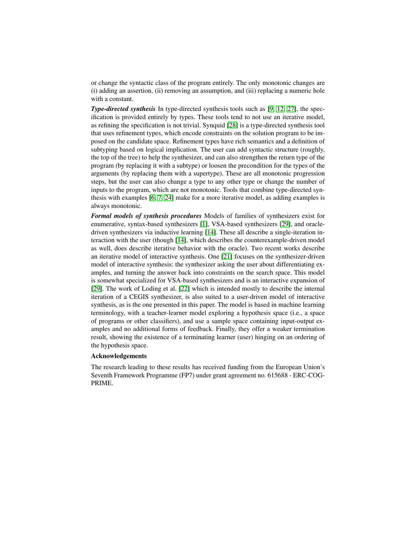or change the syntactic class of the program entirely. The only monotonic changes are (i) adding an assertion, (ii) removing an assumption, and (iii) replacing a numeric hole with a constant.

*Type-directed synthesis* In type-directed synthesis tools such as [\[9,](#page-21-11) [12,](#page-21-12) [27\]](#page-22-17), the specification is provided entirely by types. These tools tend to not use an iterative model, as refining the specification is not trivial. Synquid [\[28\]](#page-22-18) is a type-directed synthesis tool that uses refinement types, which encode constraints on the solution program to be imposed on the candidate space. Refinement types have rich semantics and a definition of subtyping based on logical implication. The user can add syntactic structure (roughly, the top of the tree) to help the synthesizer, and can also strengthen the return type of the program (by replacing it with a subtype) or loosen the precondition for the types of the arguments (by replacing them with a supertype). These are all monotonic progression steps, but the user can also change a type to any other type or change the number of inputs to the program, which are not monotonic. Tools that combine type-directed synthesis with examples [\[6,](#page-21-13) [7,](#page-21-2) [24\]](#page-22-4) make for a more iterative model, as adding examples is always monotonic.

*Formal models of synthesis procedures* Models of families of synthesizers exist for enumerative, syntax-based synthesizers [\[1\]](#page-21-5), VSA-based synthesizers [\[29\]](#page-22-8), and oracledriven synthesizers via inductive learning [\[14\]](#page-21-7). These all describe a single-iteration interaction with the user (though [\[14\]](#page-21-7), which describes the counterexample-driven model as well, does describe iterative behavior with the oracle). Two recent works describe an iterative model of interactive synthesis. One [\[21\]](#page-22-10) focuses on the synthesizer-driven model of interactive synthesis: the synthesizer asking the user about differentiating examples, and turning the answer back into constraints on the search space. This model is somewhat specialized for VSA-based synthesizers and is an interactive expansion of [\[29\]](#page-22-8). The work of Loding et al. [\[22\]](#page-22-11) which is intended mostly to describe the internal iteration of a CEGIS synthesizer, is also suited to a user-driven model of interactive synthesis, as is the one presented in this paper. The model is based in machine learning terminology, with a teacher-learner model exploring a hypothesis space (i.e., a space of programs or other classifiers), and use a sample space containing input-output examples and no additional forms of feedback. Finally, they offer a weaker termination result, showing the existence of a terminating learner (user) hinging on an ordering of the hypothesis space.

#### Acknowledgements

The research leading to these results has received funding from the European Union's Seventh Framework Programme (FP7) under grant agreement no. 615688 - ERC-COG-PRIME.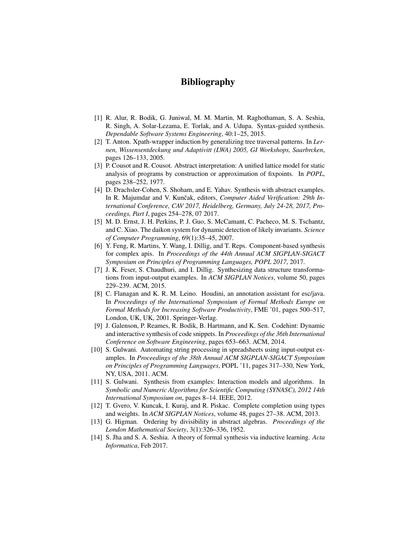# Bibliography

- <span id="page-21-5"></span>[1] R. Alur, R. Bodik, G. Juniwal, M. M. Martin, M. Raghothaman, S. A. Seshia, R. Singh, A. Solar-Lezama, E. Torlak, and A. Udupa. Syntax-guided synthesis. *Dependable Software Systems Engineering*, 40:1–25, 2015.
- <span id="page-21-1"></span>[2] T. Anton. Xpath-wrapper induction by generalizing tree traversal patterns. In *Lernen, Wissensentdeckung und Adaptivitt (LWA) 2005, GI Workshops, Saarbrcken*, pages 126–133, 2005.
- <span id="page-21-6"></span>[3] P. Cousot and R. Cousot. Abstract interpretation: A unified lattice model for static analysis of programs by construction or approximation of fixpoints. In *POPL*, pages 238–252, 1977.
- <span id="page-21-4"></span>[4] D. Drachsler-Cohen, S. Shoham, and E. Yahav. Synthesis with abstract examples. In R. Majumdar and V. Kunčak, editors, *Computer Aided Verification: 29th International Conference, CAV 2017, Heidelberg, Germany, July 24-28, 2017, Proceedings, Part I*, pages 254–278, 07 2017.
- <span id="page-21-9"></span>[5] M. D. Ernst, J. H. Perkins, P. J. Guo, S. McCamant, C. Pacheco, M. S. Tschantz, and C. Xiao. The daikon system for dynamic detection of likely invariants. *Science of Computer Programming*, 69(1):35–45, 2007.
- <span id="page-21-13"></span>[6] Y. Feng, R. Martins, Y. Wang, I. Dillig, and T. Reps. Component-based synthesis for complex apis. In *Proceedings of the 44th Annual ACM SIGPLAN-SIGACT Symposium on Principles of Programming Languages, POPL 2017*, 2017.
- <span id="page-21-2"></span>[7] J. K. Feser, S. Chaudhuri, and I. Dillig. Synthesizing data structure transformations from input-output examples. In *ACM SIGPLAN Notices*, volume 50, pages 229–239. ACM, 2015.
- <span id="page-21-8"></span>[8] C. Flanagan and K. R. M. Leino. Houdini, an annotation assistant for esc/java. In *Proceedings of the International Symposium of Formal Methods Europe on Formal Methods for Increasing Software Productivity*, FME '01, pages 500–517, London, UK, UK, 2001. Springer-Verlag.
- <span id="page-21-11"></span>[9] J. Galenson, P. Reames, R. Bodik, B. Hartmann, and K. Sen. Codehint: Dynamic and interactive synthesis of code snippets. In *Proceedings of the 36th International Conference on Software Engineering*, pages 653–663. ACM, 2014.
- <span id="page-21-0"></span>[10] S. Gulwani. Automating string processing in spreadsheets using input-output examples. In *Proceedings of the 38th Annual ACM SIGPLAN-SIGACT Symposium on Principles of Programming Languages*, POPL '11, pages 317–330, New York, NY, USA, 2011. ACM.
- <span id="page-21-3"></span>[11] S. Gulwani. Synthesis from examples: Interaction models and algorithms. In *Symbolic and Numeric Algorithms for Scientific Computing (SYNASC), 2012 14th International Symposium on*, pages 8–14. IEEE, 2012.
- <span id="page-21-12"></span>[12] T. Gvero, V. Kuncak, I. Kuraj, and R. Piskac. Complete completion using types and weights. In *ACM SIGPLAN Notices*, volume 48, pages 27–38. ACM, 2013.
- <span id="page-21-10"></span>[13] G. Higman. Ordering by divisibility in abstract algebras. *Proceedings of the London Mathematical Society*, 3(1):326–336, 1952.
- <span id="page-21-7"></span>[14] S. Jha and S. A. Seshia. A theory of formal synthesis via inductive learning. *Acta Informatica*, Feb 2017.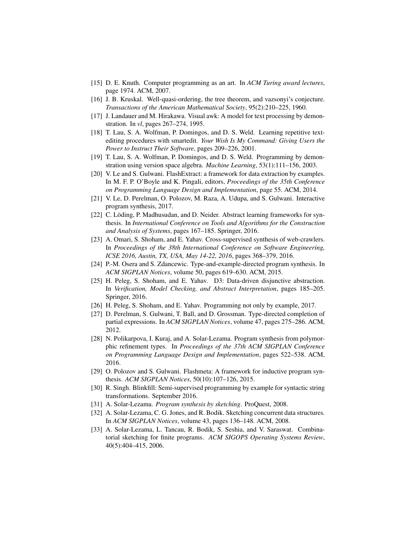- <span id="page-22-7"></span>[15] D. E. Knuth. Computer programming as an art. In *ACM Turing award lectures*, page 1974. ACM, 2007.
- <span id="page-22-14"></span>[16] J. B. Kruskal. Well-quasi-ordering, the tree theorem, and vazsonyi's conjecture. *Transactions of the American Mathematical Society*, 95(2):210–225, 1960.
- <span id="page-22-0"></span>[17] J. Landauer and M. Hirakawa. Visual awk: A model for text processing by demonstration. In *vl*, pages 267–274, 1995.
- <span id="page-22-1"></span>[18] T. Lau, S. A. Wolfman, P. Domingos, and D. S. Weld. Learning repetitive textediting procedures with smartedit. *Your Wish Is My Command: Giving Users the Power to Instruct Their Software*, pages 209–226, 2001.
- <span id="page-22-13"></span>[19] T. Lau, S. A. Wolfman, P. Domingos, and D. S. Weld. Programming by demonstration using version space algebra. *Machine Learning*, 53(1):111–156, 2003.
- <span id="page-22-2"></span>[20] V. Le and S. Gulwani. FlashExtract: a framework for data extraction by examples. In M. F. P. O'Boyle and K. Pingali, editors, *Proceedings of the 35th Conference on Programming Language Design and Implementation*, page 55. ACM, 2014.
- <span id="page-22-10"></span>[21] V. Le, D. Perelman, O. Polozov, M. Raza, A. Udupa, and S. Gulwani. Interactive program synthesis, 2017.
- <span id="page-22-11"></span>[22] C. Löding, P. Madhusudan, and D. Neider. Abstract learning frameworks for synthesis. In *International Conference on Tools and Algorithms for the Construction and Analysis of Systems*, pages 167–185. Springer, 2016.
- <span id="page-22-3"></span>[23] A. Omari, S. Shoham, and E. Yahav. Cross-supervised synthesis of web-crawlers. In *Proceedings of the 38th International Conference on Software Engineering, ICSE 2016, Austin, TX, USA, May 14-22, 2016*, pages 368–379, 2016.
- <span id="page-22-4"></span>[24] P.-M. Osera and S. Zdancewic. Type-and-example-directed program synthesis. In *ACM SIGPLAN Notices*, volume 50, pages 619–630. ACM, 2015.
- <span id="page-22-12"></span>[25] H. Peleg, S. Shoham, and E. Yahav. D3: Data-driven disjunctive abstraction. In *Verification, Model Checking, and Abstract Interpretation*, pages 185–205. Springer, 2016.
- <span id="page-22-6"></span>[26] H. Peleg, S. Shoham, and E. Yahav. Programming not only by example, 2017.
- <span id="page-22-17"></span>[27] D. Perelman, S. Gulwani, T. Ball, and D. Grossman. Type-directed completion of partial expressions. In *ACM SIGPLAN Notices*, volume 47, pages 275–286. ACM, 2012.
- <span id="page-22-18"></span>[28] N. Polikarpova, I. Kuraj, and A. Solar-Lezama. Program synthesis from polymorphic refinement types. In *Proceedings of the 37th ACM SIGPLAN Conference on Programming Language Design and Implementation*, pages 522–538. ACM, 2016.
- <span id="page-22-8"></span>[29] O. Polozov and S. Gulwani. Flashmeta: A framework for inductive program synthesis. *ACM SIGPLAN Notices*, 50(10):107–126, 2015.
- <span id="page-22-15"></span>[30] R. Singh. Blinkfill: Semi-supervised programming by example for syntactic string transformations. September 2016.
- <span id="page-22-9"></span>[31] A. Solar-Lezama. *Program synthesis by sketching*. ProQuest, 2008.
- <span id="page-22-16"></span>[32] A. Solar-Lezama, C. G. Jones, and R. Bodik. Sketching concurrent data structures. In *ACM SIGPLAN Notices*, volume 43, pages 136–148. ACM, 2008.
- <span id="page-22-5"></span>[33] A. Solar-Lezama, L. Tancau, R. Bodik, S. Seshia, and V. Saraswat. Combinatorial sketching for finite programs. *ACM SIGOPS Operating Systems Review*, 40(5):404–415, 2006.